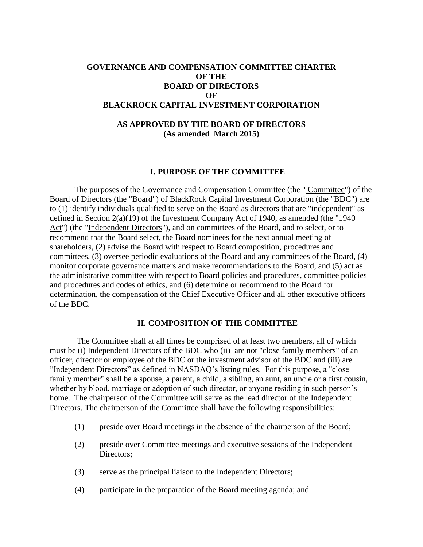## **GOVERNANCE AND COMPENSATION COMMITTEE CHARTER OF THE BOARD OF DIRECTORS OF BLACKROCK CAPITAL INVESTMENT CORPORATION**

# **AS APPROVED BY THE BOARD OF DIRECTORS (As amended March 2015)**

### **I. PURPOSE OF THE COMMITTEE**

The purposes of the Governance and Compensation Committee (the " Committee") of the Board of Directors (the "Board") of BlackRock Capital Investment Corporation (the "BDC") are to (1) identify individuals qualified to serve on the Board as directors that are "independent" as defined in Section 2(a)(19) of the Investment Company Act of 1940, as amended (the "1940 Act") (the "Independent Directors"), and on committees of the Board, and to select, or to recommend that the Board select, the Board nominees for the next annual meeting of shareholders, (2) advise the Board with respect to Board composition, procedures and committees, (3) oversee periodic evaluations of the Board and any committees of the Board, (4) monitor corporate governance matters and make recommendations to the Board, and (5) act as the administrative committee with respect to Board policies and procedures, committee policies and procedures and codes of ethics, and (6) determine or recommend to the Board for determination, the compensation of the Chief Executive Officer and all other executive officers of the BDC.

### **II. COMPOSITION OF THE COMMITTEE**

The Committee shall at all times be comprised of at least two members, all of which must be (i) Independent Directors of the BDC who (ii) are not "close family members" of an officer, director or employee of the BDC or the investment advisor of the BDC and (iii) are "Independent Directors" as defined in NASDAQ's listing rules. For this purpose, a "close family member" shall be a spouse, a parent, a child, a sibling, an aunt, an uncle or a first cousin, whether by blood, marriage or adoption of such director, or anyone residing in such person's home. The chairperson of the Committee will serve as the lead director of the Independent Directors. The chairperson of the Committee shall have the following responsibilities:

- (1) preside over Board meetings in the absence of the chairperson of the Board;
- (2) preside over Committee meetings and executive sessions of the Independent Directors;
- (3) serve as the principal liaison to the Independent Directors;
- (4) participate in the preparation of the Board meeting agenda; and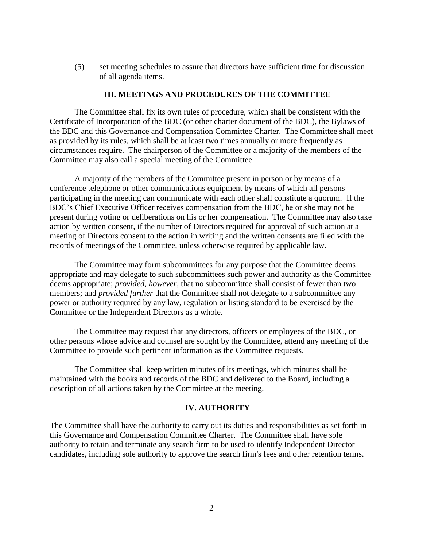(5) set meeting schedules to assure that directors have sufficient time for discussion of all agenda items.

### **III. MEETINGS AND PROCEDURES OF THE COMMITTEE**

The Committee shall fix its own rules of procedure, which shall be consistent with the Certificate of Incorporation of the BDC (or other charter document of the BDC), the Bylaws of the BDC and this Governance and Compensation Committee Charter. The Committee shall meet as provided by its rules, which shall be at least two times annually or more frequently as circumstances require. The chairperson of the Committee or a majority of the members of the Committee may also call a special meeting of the Committee.

A majority of the members of the Committee present in person or by means of a conference telephone or other communications equipment by means of which all persons participating in the meeting can communicate with each other shall constitute a quorum. If the BDC's Chief Executive Officer receives compensation from the BDC, he or she may not be present during voting or deliberations on his or her compensation. The Committee may also take action by written consent, if the number of Directors required for approval of such action at a meeting of Directors consent to the action in writing and the written consents are filed with the records of meetings of the Committee, unless otherwise required by applicable law.

The Committee may form subcommittees for any purpose that the Committee deems appropriate and may delegate to such subcommittees such power and authority as the Committee deems appropriate; *provided, however,* that no subcommittee shall consist of fewer than two members; and *provided further* that the Committee shall not delegate to a subcommittee any power or authority required by any law, regulation or listing standard to be exercised by the Committee or the Independent Directors as a whole.

The Committee may request that any directors, officers or employees of the BDC, or other persons whose advice and counsel are sought by the Committee, attend any meeting of the Committee to provide such pertinent information as the Committee requests.

The Committee shall keep written minutes of its meetings, which minutes shall be maintained with the books and records of the BDC and delivered to the Board, including a description of all actions taken by the Committee at the meeting.

### **IV. AUTHORITY**

The Committee shall have the authority to carry out its duties and responsibilities as set forth in this Governance and Compensation Committee Charter. The Committee shall have sole authority to retain and terminate any search firm to be used to identify Independent Director candidates, including sole authority to approve the search firm's fees and other retention terms.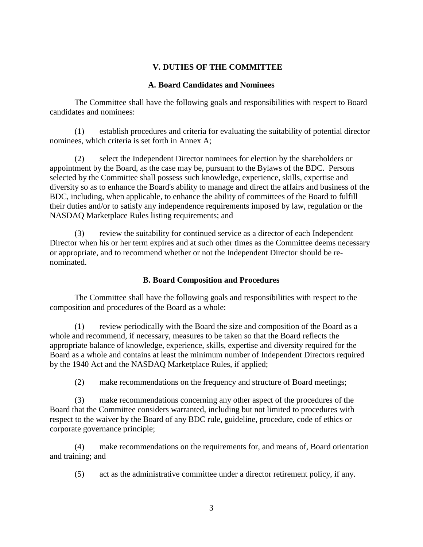## **V. DUTIES OF THE COMMITTEE**

## **A. Board Candidates and Nominees**

The Committee shall have the following goals and responsibilities with respect to Board candidates and nominees:

(1) establish procedures and criteria for evaluating the suitability of potential director nominees, which criteria is set forth in Annex A;

(2) select the Independent Director nominees for election by the shareholders or appointment by the Board, as the case may be, pursuant to the Bylaws of the BDC. Persons selected by the Committee shall possess such knowledge, experience, skills, expertise and diversity so as to enhance the Board's ability to manage and direct the affairs and business of the BDC, including, when applicable, to enhance the ability of committees of the Board to fulfill their duties and/or to satisfy any independence requirements imposed by law, regulation or the NASDAQ Marketplace Rules listing requirements; and

(3) review the suitability for continued service as a director of each Independent Director when his or her term expires and at such other times as the Committee deems necessary or appropriate, and to recommend whether or not the Independent Director should be renominated.

# **B. Board Composition and Procedures**

The Committee shall have the following goals and responsibilities with respect to the composition and procedures of the Board as a whole:

(1) review periodically with the Board the size and composition of the Board as a whole and recommend, if necessary, measures to be taken so that the Board reflects the appropriate balance of knowledge, experience, skills, expertise and diversity required for the Board as a whole and contains at least the minimum number of Independent Directors required by the 1940 Act and the NASDAQ Marketplace Rules, if applied;

(2) make recommendations on the frequency and structure of Board meetings;

(3) make recommendations concerning any other aspect of the procedures of the Board that the Committee considers warranted, including but not limited to procedures with respect to the waiver by the Board of any BDC rule, guideline, procedure, code of ethics or corporate governance principle;

(4) make recommendations on the requirements for, and means of, Board orientation and training; and

(5) act as the administrative committee under a director retirement policy, if any.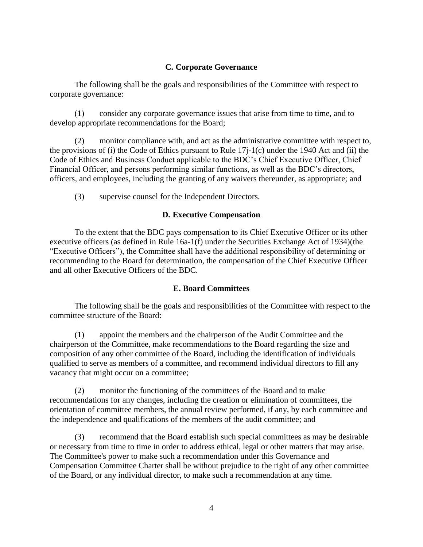# **C. Corporate Governance**

The following shall be the goals and responsibilities of the Committee with respect to corporate governance:

(1) consider any corporate governance issues that arise from time to time, and to develop appropriate recommendations for the Board;

(2) monitor compliance with, and act as the administrative committee with respect to, the provisions of (i) the Code of Ethics pursuant to Rule 17j-1(c) under the 1940 Act and (ii) the Code of Ethics and Business Conduct applicable to the BDC's Chief Executive Officer, Chief Financial Officer, and persons performing similar functions, as well as the BDC's directors, officers, and employees, including the granting of any waivers thereunder, as appropriate; and

(3) supervise counsel for the Independent Directors.

### **D. Executive Compensation**

To the extent that the BDC pays compensation to its Chief Executive Officer or its other executive officers (as defined in Rule 16a-1(f) under the Securities Exchange Act of 1934)(the "Executive Officers"), the Committee shall have the additional responsibility of determining or recommending to the Board for determination, the compensation of the Chief Executive Officer and all other Executive Officers of the BDC.

## **E. Board Committees**

The following shall be the goals and responsibilities of the Committee with respect to the committee structure of the Board:

(1) appoint the members and the chairperson of the Audit Committee and the chairperson of the Committee, make recommendations to the Board regarding the size and composition of any other committee of the Board, including the identification of individuals qualified to serve as members of a committee, and recommend individual directors to fill any vacancy that might occur on a committee;

(2) monitor the functioning of the committees of the Board and to make recommendations for any changes, including the creation or elimination of committees, the orientation of committee members, the annual review performed, if any, by each committee and the independence and qualifications of the members of the audit committee; and

(3) recommend that the Board establish such special committees as may be desirable or necessary from time to time in order to address ethical, legal or other matters that may arise. The Committee's power to make such a recommendation under this Governance and Compensation Committee Charter shall be without prejudice to the right of any other committee of the Board, or any individual director, to make such a recommendation at any time.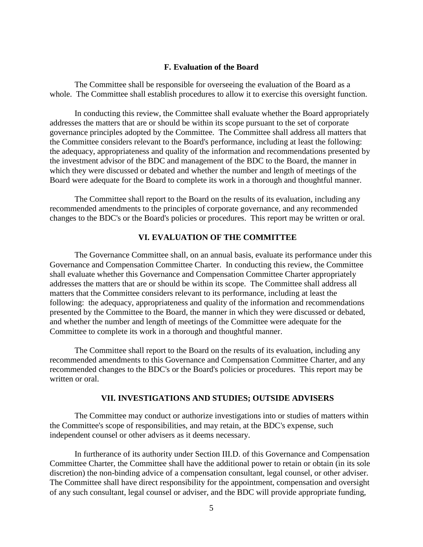### **F. Evaluation of the Board**

The Committee shall be responsible for overseeing the evaluation of the Board as a whole. The Committee shall establish procedures to allow it to exercise this oversight function.

In conducting this review, the Committee shall evaluate whether the Board appropriately addresses the matters that are or should be within its scope pursuant to the set of corporate governance principles adopted by the Committee. The Committee shall address all matters that the Committee considers relevant to the Board's performance, including at least the following: the adequacy, appropriateness and quality of the information and recommendations presented by the investment advisor of the BDC and management of the BDC to the Board, the manner in which they were discussed or debated and whether the number and length of meetings of the Board were adequate for the Board to complete its work in a thorough and thoughtful manner.

The Committee shall report to the Board on the results of its evaluation, including any recommended amendments to the principles of corporate governance, and any recommended changes to the BDC's or the Board's policies or procedures. This report may be written or oral.

### **VI. EVALUATION OF THE COMMITTEE**

The Governance Committee shall, on an annual basis, evaluate its performance under this Governance and Compensation Committee Charter. In conducting this review, the Committee shall evaluate whether this Governance and Compensation Committee Charter appropriately addresses the matters that are or should be within its scope. The Committee shall address all matters that the Committee considers relevant to its performance, including at least the following: the adequacy, appropriateness and quality of the information and recommendations presented by the Committee to the Board, the manner in which they were discussed or debated, and whether the number and length of meetings of the Committee were adequate for the Committee to complete its work in a thorough and thoughtful manner.

The Committee shall report to the Board on the results of its evaluation, including any recommended amendments to this Governance and Compensation Committee Charter, and any recommended changes to the BDC's or the Board's policies or procedures. This report may be written or oral.

### **VII. INVESTIGATIONS AND STUDIES; OUTSIDE ADVISERS**

The Committee may conduct or authorize investigations into or studies of matters within the Committee's scope of responsibilities, and may retain, at the BDC's expense, such independent counsel or other advisers as it deems necessary.

In furtherance of its authority under Section III.D. of this Governance and Compensation Committee Charter, the Committee shall have the additional power to retain or obtain (in its sole discretion) the non-binding advice of a compensation consultant, legal counsel, or other adviser. The Committee shall have direct responsibility for the appointment, compensation and oversight of any such consultant, legal counsel or adviser, and the BDC will provide appropriate funding,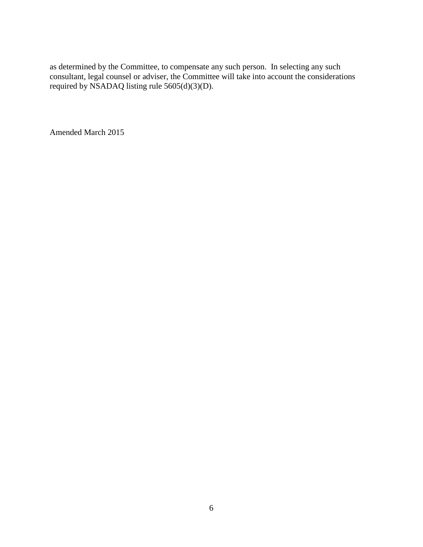as determined by the Committee, to compensate any such person. In selecting any such consultant, legal counsel or adviser, the Committee will take into account the considerations required by NSADAQ listing rule 5605(d)(3)(D).

Amended March 2015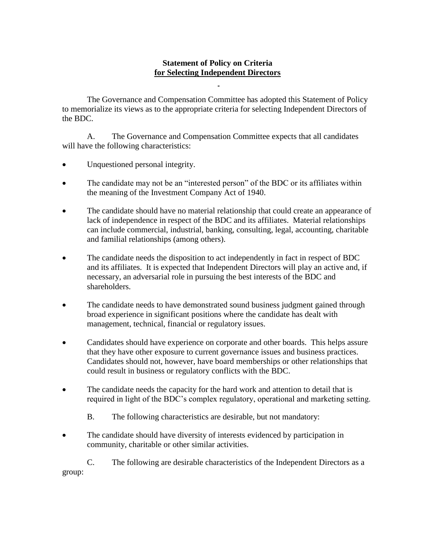# **Statement of Policy on Criteria for Selecting Independent Directors**

The Governance and Compensation Committee has adopted this Statement of Policy to memorialize its views as to the appropriate criteria for selecting Independent Directors of the BDC.

A. The Governance and Compensation Committee expects that all candidates will have the following characteristics:

- Unquestioned personal integrity.
- The candidate may not be an "interested person" of the BDC or its affiliates within the meaning of the Investment Company Act of 1940.
- The candidate should have no material relationship that could create an appearance of lack of independence in respect of the BDC and its affiliates. Material relationships can include commercial, industrial, banking, consulting, legal, accounting, charitable and familial relationships (among others).
- The candidate needs the disposition to act independently in fact in respect of BDC and its affiliates. It is expected that Independent Directors will play an active and, if necessary, an adversarial role in pursuing the best interests of the BDC and shareholders.
- The candidate needs to have demonstrated sound business judgment gained through broad experience in significant positions where the candidate has dealt with management, technical, financial or regulatory issues.
- Candidates should have experience on corporate and other boards. This helps assure that they have other exposure to current governance issues and business practices. Candidates should not, however, have board memberships or other relationships that could result in business or regulatory conflicts with the BDC.
- The candidate needs the capacity for the hard work and attention to detail that is required in light of the BDC's complex regulatory, operational and marketing setting.
	- B. The following characteristics are desirable, but not mandatory:
- The candidate should have diversity of interests evidenced by participation in community, charitable or other similar activities.

C. The following are desirable characteristics of the Independent Directors as a group: